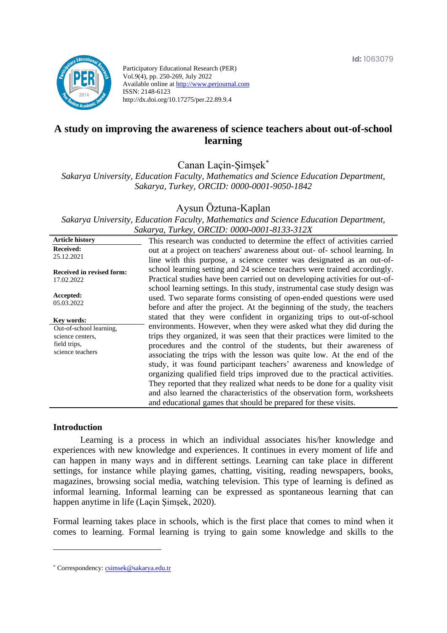

Participatory Educational Research (PER) Vol.9(4), pp. 250-269, July 2022 Available online at http://www.perjournal.com ISSN: 2148-6123 http://dx.doi.org/10.17275/per.22.89.9.4

# **A study on improving the awareness of science teachers about out-of-school learning**

Canan Laçin-Şimşek\*

*Sakarya University, Education Faculty, Mathematics and Science Education Department, Sakarya, Turkey, ORCID: 0000-0001-9050-1842*

### Aysun Öztuna-Kaplan

*Sakarya University, Education Faculty, Mathematics and Science Education Department, Sakarya, Turkey, ORCID: 0000-0001-8133-312X*

| <b>Article history</b>           | This research was conducted to determine the effect of activities carried    |
|----------------------------------|------------------------------------------------------------------------------|
| <b>Received:</b>                 | out at a project on teachers' awareness about out- of-school learning. In    |
| 25.12.2021                       | line with this purpose, a science center was designated as an out-of-        |
| <b>Received in revised form:</b> | school learning setting and 24 science teachers were trained accordingly.    |
| 17.02.2022                       | Practical studies have been carried out on developing activities for out-of- |
|                                  | school learning settings. In this study, instrumental case study design was  |
| Accepted:                        | used. Two separate forms consisting of open-ended questions were used        |
| 05.03.2022                       | before and after the project. At the beginning of the study, the teachers    |
| Kev words:                       | stated that they were confident in organizing trips to out-of-school         |
| Out-of-school learning,          | environments. However, when they were asked what they did during the         |
| science centers.                 | trips they organized, it was seen that their practices were limited to the   |
| field trips,                     | procedures and the control of the students, but their awareness of           |
| science teachers                 | associating the trips with the lesson was quite low. At the end of the       |
|                                  | study, it was found participant teachers' awareness and knowledge of         |
|                                  | organizing qualified field trips improved due to the practical activities.   |
|                                  | They reported that they realized what needs to be done for a quality visit   |
|                                  | and also learned the characteristics of the observation form, worksheets     |
|                                  | and educational games that should be prepared for these visits.              |
|                                  |                                                                              |

### **Introduction**

Learning is a process in which an individual associates his/her knowledge and experiences with new knowledge and experiences. It continues in every moment of life and can happen in many ways and in different settings. Learning can take place in different settings, for instance while playing games, chatting, visiting, reading newspapers, books, magazines, browsing social media, watching television. This type of learning is defined as informal learning. Informal learning can be expressed as spontaneous learning that can happen anytime in life (Laçin Şimşek, 2020).

Formal learning takes place in schools, which is the first place that comes to mind when it comes to learning. Formal learning is trying to gain some knowledge and skills to the

<sup>\*</sup> [Correspondency:](mailto:Correspondency:) [csimsek@sakarya.edu.tr](mailto:csimsek@sakarya.edu.tr)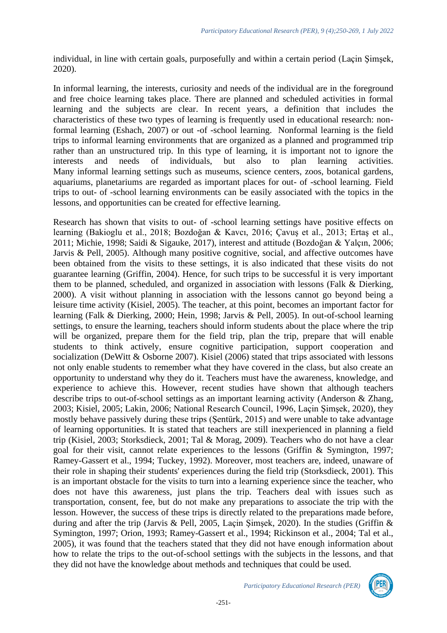individual, in line with certain goals, purposefully and within a certain period (Laçin Şimşek, 2020).

In informal learning, the interests, curiosity and needs of the individual are in the foreground and free choice learning takes place. There are planned and scheduled activities in formal learning and the subjects are clear. In recent years, a definition that includes the characteristics of these two types of learning is frequently used in educational research: nonformal learning (Eshach, 2007) or out -of -school learning. Nonformal learning is the field trips to informal learning environments that are organized as a planned and programmed trip rather than an unstructured trip. In this type of learning, it is important not to ignore the interests and needs of individuals, but also to plan learning activities. Many informal learning settings such as museums, science centers, zoos, botanical gardens, aquariums, planetariums are regarded as important places for out- of -school learning. Field trips to out- of -school learning environments can be easily associated with the topics in the lessons, and opportunities can be created for effective learning.

Research has shown that visits to out- of -school learning settings have positive effects on learning (Bakioglu et al., 2018; Bozdoğan & Kavcı, 2016; Çavuş et al., 2013; Ertaş et al., 2011; Michie, 1998; Saidi & Sigauke, 2017), interest and attitude (Bozdoğan & Yalçın, 2006; Jarvis & Pell, 2005). Although many positive cognitive, social, and affective outcomes have been obtained from the visits to these settings, it is also indicated that these visits do not guarantee learning (Griffin, 2004). Hence, for such trips to be successful it is very important them to be planned, scheduled, and organized in association with lessons (Falk & Dierking, 2000). A visit without planning in association with the lessons cannot go beyond being a leisure time activity (Kisiel, 2005). The teacher, at this point, becomes an important factor for learning (Falk & Dierking, 2000; Hein, 1998; Jarvis & Pell, 2005). In out-of-school learning settings, to ensure the learning, teachers should inform students about the place where the trip will be organized, prepare them for the field trip, plan the trip, prepare that will enable students to think actively, ensure cognitive participation, support cooperation and socialization (DeWitt & Osborne 2007). Kisiel (2006) stated that trips associated with lessons not only enable students to remember what they have covered in the class, but also create an opportunity to understand why they do it. Teachers must have the awareness, knowledge, and experience to achieve this. However, recent studies have shown that although teachers describe trips to out-of-school settings as an important learning activity (Anderson & Zhang, 2003; Kisiel, 2005; Lakin, 2006; National Research Council, 1996, Laçin Şimşek, 2020), they mostly behave passively during these trips (Şentürk, 2015) and were unable to take advantage of learning opportunities. It is stated that teachers are still inexperienced in planning a field trip (Kisiel, 2003; Storksdieck, 2001; Tal & Morag, 2009). Teachers who do not have a clear goal for their visit, cannot relate experiences to the lessons (Griffin & Symington, 1997; Ramey-Gassert et al., 1994; Tuckey, 1992). Moreover, most teachers are, indeed, unaware of their role in shaping their students' experiences during the field trip (Storksdieck, 2001). This is an important obstacle for the visits to turn into a learning experience since the teacher, who does not have this awareness, just plans the trip. Teachers deal with issues such as transportation, consent, fee, but do not make any preparations to associate the trip with the lesson. However, the success of these trips is directly related to the preparations made before, during and after the trip (Jarvis & Pell, 2005, Laçin Şimşek, 2020). In the studies (Griffin & Symington, 1997; Orion, 1993; Ramey-Gassert et al., 1994; Rickinson et al., 2004; Tal et al., 2005), it was found that the teachers stated that they did not have enough information about how to relate the trips to the out-of-school settings with the subjects in the lessons, and that they did not have the knowledge about methods and techniques that could be used.

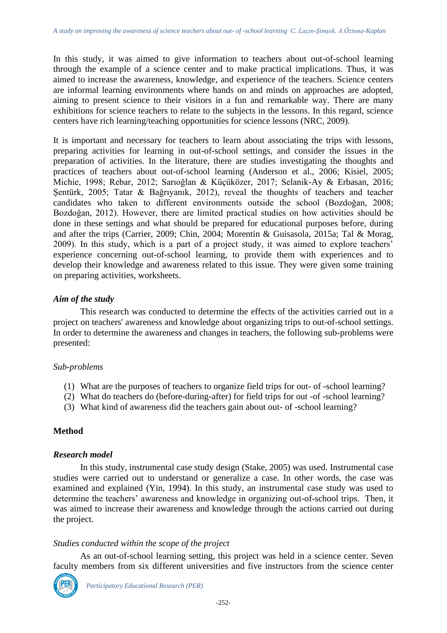In this study, it was aimed to give information to teachers about out-of-school learning through the example of a science center and to make practical implications. Thus, it was aimed to increase the awareness, knowledge, and experience of the teachers. Science centers are informal learning environments where hands on and minds on approaches are adopted, aiming to present science to their visitors in a fun and remarkable way. There are many exhibitions for science teachers to relate to the subjects in the lessons. In this regard, science centers have rich learning/teaching opportunities for science lessons (NRC, 2009).

It is important and necessary for teachers to learn about associating the trips with lessons, preparing activities for learning in out-of-school settings, and consider the issues in the preparation of activities. In the literature, there are studies investigating the thoughts and practices of teachers about out-of-school learning (Anderson et al., 2006; Kisiel, 2005; Michie, 1998; Rebar, 2012; Sarıoğlan & Küçüközer, 2017; Selanik-Ay & Erbasan, 2016; Şentürk, 2005; Tatar & Bağrıyanık, 2012), reveal the thoughts of teachers and teacher candidates who taken to different environments outside the school (Bozdoğan, 2008; Bozdoğan, 2012). However, there are limited practical studies on how activities should be done in these settings and what should be prepared for educational purposes before, during and after the trips (Carrier, 2009; Chin, 2004; Morentin & Guisasola, 2015a; Tal & Morag, 2009). In this study, which is a part of a project study, it was aimed to explore teachers' experience concerning out-of-school learning, to provide them with experiences and to develop their knowledge and awareness related to this issue. They were given some training on preparing activities, worksheets.

### *Aim of the study*

This research was conducted to determine the effects of the activities carried out in a project on teachers' awareness and knowledge about organizing trips to out-of-school settings. In order to determine the awareness and changes in teachers, the following sub-problems were presented:

### *Sub-problems*

- (1) What are the purposes of teachers to organize field trips for out- of -school learning?
- (2) What do teachers do (before-during-after) for field trips for out -of -school learning?
- (3) What kind of awareness did the teachers gain about out- of -school learning?

## **Method**

### *Research model*

In this study, instrumental case study design (Stake, 2005) was used. Instrumental case studies were carried out to understand or generalize a case. In other words, the case was examined and explained (Yin, 1994). In this study, an instrumental case study was used to determine the teachers' awareness and knowledge in organizing out-of-school trips. Then, it was aimed to increase their awareness and knowledge through the actions carried out during the project.

### *Studies conducted within the scope of the project*

As an out-of-school learning setting, this project was held in a science center. Seven faculty members from six different universities and five instructors from the science center

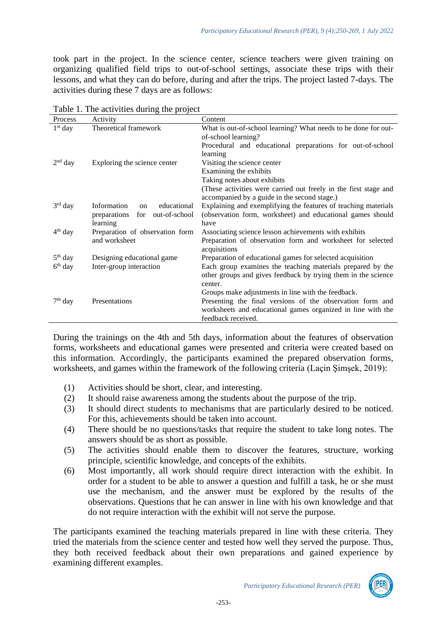took part in the project. In the science center, science teachers were given training on organizing qualified field trips to out-of-school settings, associate these trips with their lessons, and what they can do before, during and after the trips. The project lasted 7-days. The activities during these 7 days are as follows:

| Process   | Activity                                    | Content                                                          |
|-----------|---------------------------------------------|------------------------------------------------------------------|
| $1st$ day | Theoretical framework                       | What is out-of-school learning? What needs to be done for out-   |
|           |                                             | of-school learning?                                              |
|           |                                             | Procedural and educational preparations for out-of-school        |
|           |                                             | learning                                                         |
| $2nd$ day | Exploring the science center                | Visiting the science center                                      |
|           |                                             | Examining the exhibits                                           |
|           |                                             | Taking notes about exhibits                                      |
|           |                                             | (These activities were carried out freely in the first stage and |
|           |                                             | accompanied by a guide in the second stage.)                     |
| $3rd$ day | Information<br>educational<br><sub>on</sub> | Explaining and exemplifying the features of teaching materials   |
|           | out-of-school<br>preparations<br>for        | (observation form, worksheet) and educational games should       |
|           | learning                                    | have                                                             |
| $4th$ day | Preparation of observation form             | Associating science lesson achievements with exhibits            |
|           | and worksheet                               | Preparation of observation form and worksheet for selected       |
|           |                                             | acquisitions                                                     |
| $5th$ day | Designing educational game                  | Preparation of educational games for selected acquisition        |
| $6th$ day | Inter-group interaction                     | Each group examines the teaching materials prepared by the       |
|           |                                             | other groups and gives feedback by trying them in the science    |
|           |                                             | center.                                                          |
|           |                                             | Groups make adjustments in line with the feedback.               |
| $7th$ day | Presentations                               | Presenting the final versions of the observation form and        |
|           |                                             | worksheets and educational games organized in line with the      |
|           |                                             | feedback received.                                               |

|  |  | Table 1. The activities during the project |  |  |  |  |
|--|--|--------------------------------------------|--|--|--|--|
|--|--|--------------------------------------------|--|--|--|--|

During the trainings on the 4th and 5th days, information about the features of observation forms, worksheets and educational games were presented and criteria were created based on this information. Accordingly, the participants examined the prepared observation forms, worksheets, and games within the framework of the following criteria (Laçin Şimşek, 2019):

- (1) Activities should be short, clear, and interesting.
- (2) It should raise awareness among the students about the purpose of the trip.
- (3) It should direct students to mechanisms that are particularly desired to be noticed. For this, achievements should be taken into account.
- (4) There should be no questions/tasks that require the student to take long notes. The answers should be as short as possible.
- (5) The activities should enable them to discover the features, structure, working principle, scientific knowledge, and concepts of the exhibits.
- (6) Most importantly, all work should require direct interaction with the exhibit. In order for a student to be able to answer a question and fulfill a task, he or she must use the mechanism, and the answer must be explored by the results of the observations. Questions that he can answer in line with his own knowledge and that do not require interaction with the exhibit will not serve the purpose.

The participants examined the teaching materials prepared in line with these criteria. They tried the materials from the science center and tested how well they served the purpose. Thus, they both received feedback about their own preparations and gained experience by examining different examples.

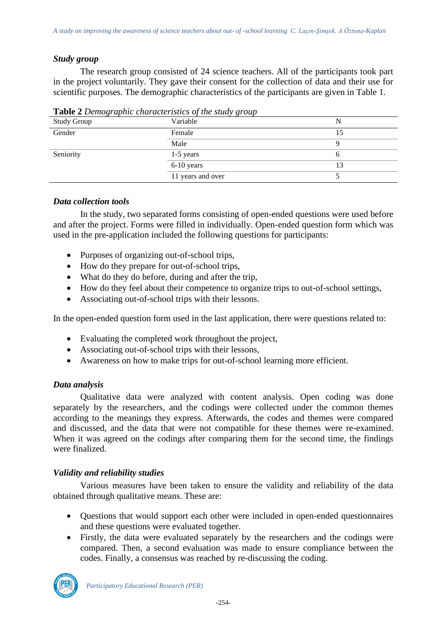## *Study group*

The research group consisted of 24 science teachers. All of the participants took part in the project voluntarily. They gave their consent for the collection of data and their use for scientific purposes. The demographic characteristics of the participants are given in Table 1.

| $\frac{1}{2}$ and $\frac{1}{2}$ belongs applied that action issues by the state $\frac{1}{2}$ |                   |    |
|-----------------------------------------------------------------------------------------------|-------------------|----|
| <b>Study Group</b>                                                                            | Variable          |    |
| Gender                                                                                        | Female            |    |
|                                                                                               | Male              |    |
| Seniority                                                                                     | $1-5$ years       |    |
|                                                                                               | $6-10$ years      | 13 |
|                                                                                               | 11 years and over |    |

**Table 2** *Demographic characteristics of the study group*

### *Data collection tools*

In the study, two separated forms consisting of open-ended questions were used before and after the project. Forms were filled in individually. Open-ended question form which was used in the pre-application included the following questions for participants:

- Purposes of organizing out-of-school trips,
- How do they prepare for out-of-school trips,
- What do they do before, during and after the trip,
- How do they feel about their competence to organize trips to out-of-school settings,
- Associating out-of-school trips with their lessons.

In the open-ended question form used in the last application, there were questions related to:

- Evaluating the completed work throughout the project,
- Associating out-of-school trips with their lessons,
- Awareness on how to make trips for out-of-school learning more efficient.

## *Data analysis*

Qualitative data were analyzed with content analysis. Open coding was done separately by the researchers, and the codings were collected under the common themes according to the meanings they express. Afterwards, the codes and themes were compared and discussed, and the data that were not compatible for these themes were re-examined. When it was agreed on the codings after comparing them for the second time, the findings were finalized.

## *Validity and reliability studies*

Various measures have been taken to ensure the validity and reliability of the data obtained through qualitative means. These are:

- Questions that would support each other were included in open-ended questionnaires and these questions were evaluated together.
- Firstly, the data were evaluated separately by the researchers and the codings were compared. Then, a second evaluation was made to ensure compliance between the codes. Finally, a consensus was reached by re-discussing the coding.

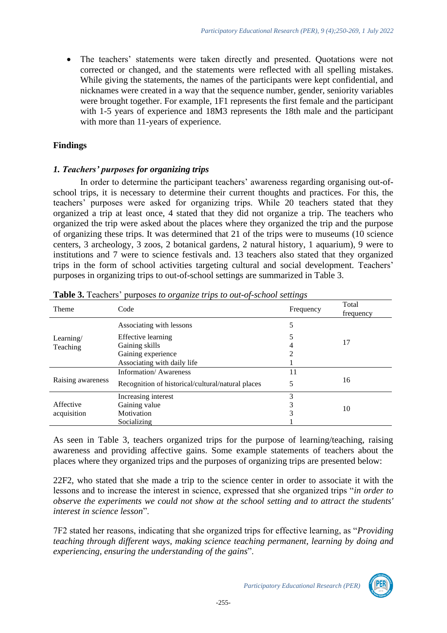• The teachers' statements were taken directly and presented. Quotations were not corrected or changed, and the statements were reflected with all spelling mistakes. While giving the statements, the names of the participants were kept confidential, and nicknames were created in a way that the sequence number, gender, seniority variables were brought together. For example, 1F1 represents the first female and the participant with 1-5 years of experience and 18M3 represents the 18th male and the participant with more than 11-years of experience.

## **Findings**

## *1. Teachers' purposes for organizing trips*

In order to determine the participant teachers' awareness regarding organising out-ofschool trips, it is necessary to determine their current thoughts and practices. For this, the teachers' purposes were asked for organizing trips. While 20 teachers stated that they organized a trip at least once, 4 stated that they did not organize a trip. The teachers who organized the trip were asked about the places where they organized the trip and the purpose of organizing these trips. It was determined that 21 of the trips were to museums (10 science centers, 3 archeology, 3 zoos, 2 botanical gardens, 2 natural history, 1 aquarium), 9 were to institutions and 7 were to science festivals and. 13 teachers also stated that they organized trips in the form of school activities targeting cultural and social development. Teachers' purposes in organizing trips to out-of-school settings are summarized in Table 3.

| Theme             | Code                                              | Frequency | Total<br>frequency |  |
|-------------------|---------------------------------------------------|-----------|--------------------|--|
|                   | Associating with lessons                          | 5         |                    |  |
| Learning/         | <b>Effective learning</b>                         |           |                    |  |
| Teaching          | Gaining skills                                    | 4         | 17                 |  |
|                   | Gaining experience                                | 2         |                    |  |
|                   | Associating with daily life                       |           |                    |  |
|                   | <b>Information/Awareness</b>                      | 11        |                    |  |
| Raising awareness | Recognition of historical/cultural/natural places | 5         | 16                 |  |
|                   | Increasing interest                               | 3         |                    |  |
| Affective         | Gaining value                                     | 3         | 10                 |  |
| acquisition       | Motivation                                        | 3         |                    |  |
|                   | Socializing                                       |           |                    |  |

**Table 3.** Teachers' purposes *to organize trips to out-of-school settings*

As seen in Table 3, teachers organized trips for the purpose of learning/teaching, raising awareness and providing affective gains. Some example statements of teachers about the places where they organized trips and the purposes of organizing trips are presented below:

22F2, who stated that she made a trip to the science center in order to associate it with the lessons and to increase the interest in science, expressed that she organized trips "*in order to observe the experiments we could not show at the school setting and to attract the students' interest in science lesson*".

7F2 stated her reasons, indicating that she organized trips for effective learning, as "*Providing teaching through different ways, making science teaching permanent, learning by doing and experiencing, ensuring the understanding of the gains*".

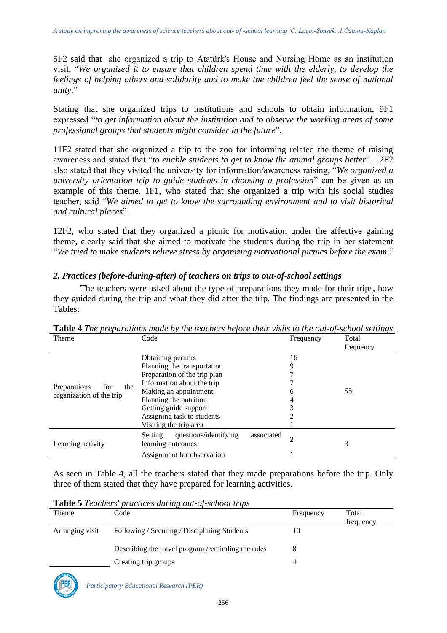5F2 said that she organized a trip to Atatürk's House and Nursing Home as an institution visit, "*We organized it to ensure that children spend time with the elderly, to develop the feelings of helping others and solidarity and to make the children feel the sense of national unity*."

Stating that she organized trips to institutions and schools to obtain information, 9F1 expressed "*to get information about the institution and to observe the working areas of some professional groups that students might consider in the future*".

11F2 stated that she organized a trip to the zoo for informing related the theme of raising awareness and stated that "*to enable students to get to know the animal groups better*". 12F2 also stated that they visited the university for information/awareness raising, "*We organized a university orientation trip to guide students in choosing a profession*" can be given as an example of this theme. 1F1, who stated that she organized a trip with his social studies teacher, said "*We aimed to get to know the surrounding environment and to visit historical and cultural places*".

12F2, who stated that they organized a picnic for motivation under the affective gaining theme, clearly said that she aimed to motivate the students during the trip in her statement "*We tried to make students relieve stress by organizing motivational picnics before the exam*."

### *2. Practices (before-during-after) of teachers on trips to out-of-school settings*

The teachers were asked about the type of preparations they made for their trips, how they guided during the trip and what they did after the trip. The findings are presented in the Tables:

| Theme                                                  | Code                                                                                                                                                                                                                                               | Frequency                   | Total<br>frequency |
|--------------------------------------------------------|----------------------------------------------------------------------------------------------------------------------------------------------------------------------------------------------------------------------------------------------------|-----------------------------|--------------------|
| Preparations<br>the<br>for<br>organization of the trip | Obtaining permits<br>Planning the transportation<br>Preparation of the trip plan<br>Information about the trip<br>Making an appointment<br>Planning the nutrition<br>Getting guide support<br>Assigning task to students<br>Visiting the trip area | 16<br>9<br>6<br>4<br>3      | 55                 |
| Learning activity                                      | questions/identifying<br>Setting<br>learning outcomes<br>Assignment for observation                                                                                                                                                                | associated<br>$\mathcal{D}$ | 3                  |

**Table 4** *The preparations made by the teachers before their visits to the out-of-school settings*

As seen in Table 4, all the teachers stated that they made preparations before the trip. Only three of them stated that they have prepared for learning activities.

**Table 5** *Teachers' practices during out-of-school trips*

| Theme           | Code                                               | Frequency | Total     |
|-----------------|----------------------------------------------------|-----------|-----------|
|                 |                                                    |           | frequency |
| Arranging visit | Following / Securing / Disciplining Students       | 10        |           |
|                 |                                                    |           |           |
|                 | Describing the travel program /reminding the rules |           |           |
|                 | Creating trip groups                               |           |           |

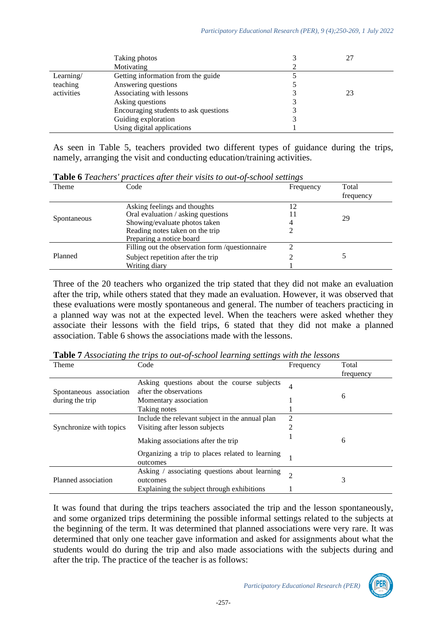|            | Taking photos                         |    |  |
|------------|---------------------------------------|----|--|
|            | Motivating                            |    |  |
| Learning/  | Getting information from the guide    |    |  |
| teaching   | Answering questions                   |    |  |
| activities | Associating with lessons              | 23 |  |
|            | Asking questions                      |    |  |
|            | Encouraging students to ask questions |    |  |
|            | Guiding exploration                   |    |  |
|            | Using digital applications            |    |  |

As seen in Table 5, teachers provided two different types of guidance during the trips, namely, arranging the visit and conducting education/training activities.

|             | <b>Lable 6</b> Leathers practices after their visits to out-of-school settings |           |           |
|-------------|--------------------------------------------------------------------------------|-----------|-----------|
| Theme       | Code                                                                           | Frequency | Total     |
|             |                                                                                |           | frequency |
|             | Asking feelings and thoughts                                                   | 12        |           |
|             | Oral evaluation / asking questions                                             |           | 29        |
| Spontaneous | Showing/evaluate photos taken                                                  |           |           |
|             | Reading notes taken on the trip                                                |           |           |
|             | Preparing a notice board                                                       |           |           |
|             | Filling out the observation form /questionnaire                                |           |           |
| Planned     | Subject repetition after the trip                                              |           |           |
|             | Writing diary                                                                  |           |           |

**Table 6** *Teachers' practices after their visits to out-of-school settings*

Three of the 20 teachers who organized the trip stated that they did not make an evaluation after the trip, while others stated that they made an evaluation. However, it was observed that these evaluations were mostly spontaneous and general. The number of teachers practicing in a planned way was not at the expected level. When the teachers were asked whether they associate their lessons with the field trips, 6 stated that they did not make a planned association. Table 6 shows the associations made with the lessons.

| Theme                   | Code                                                        | Frequency      | Total     |
|-------------------------|-------------------------------------------------------------|----------------|-----------|
|                         |                                                             |                | frequency |
|                         | Asking questions about the course subjects                  | 4              |           |
| Spontaneous association | after the observations                                      |                |           |
| during the trip         | Momentary association                                       |                | 6         |
|                         | Taking notes                                                |                |           |
|                         | Include the relevant subject in the annual plan             | 2              |           |
| Synchronize with topics | Visiting after lesson subjects                              | $\overline{c}$ |           |
|                         | Making associations after the trip                          |                | 6         |
|                         | Organizing a trip to places related to learning<br>outcomes |                |           |
|                         | Asking / associating questions about learning               | $\overline{c}$ |           |
| Planned association     | outcomes                                                    |                | 3         |
|                         | Explaining the subject through exhibitions                  |                |           |

**Table 7** *Associating the trips to out-of-school learning settings with the lessons*

It was found that during the trips teachers associated the trip and the lesson spontaneously, and some organized trips determining the possible informal settings related to the subjects at the beginning of the term. It was determined that planned associations were very rare. It was determined that only one teacher gave information and asked for assignments about what the students would do during the trip and also made associations with the subjects during and after the trip. The practice of the teacher is as follows:

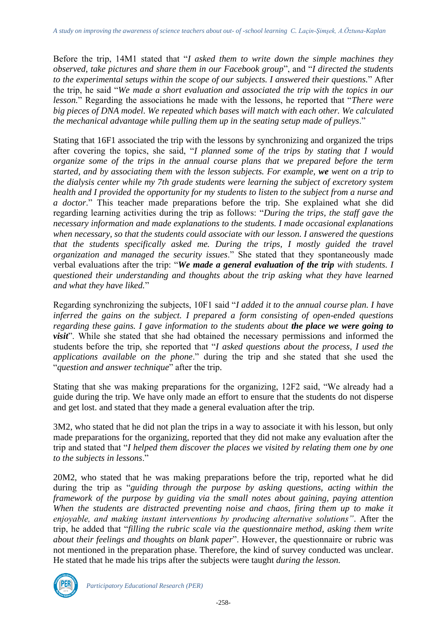Before the trip, 14M1 stated that "*I asked them to write down the simple machines they observed, take pictures and share them in our Facebook group*", and "*I directed the students to the experimental setups within the scope of our subjects. I answered their questions.*" After the trip, he said "*We made a short evaluation and associated the trip with the topics in our lesson.*" Regarding the associations he made with the lessons, he reported that "*There were big pieces of DNA model. We repeated which bases will match with each other. We calculated the mechanical advantage while pulling them up in the seating setup made of pulleys*."

Stating that 16F1 associated the trip with the lessons by synchronizing and organized the trips after covering the topics, she said, "*I planned some of the trips by stating that I would organize some of the trips in the annual course plans that we prepared before the term started, and by associating them with the lesson subjects. For example, we went on a trip to the dialysis center while my 7th grade students were learning the subject of excretory system health and I provided the opportunity for my students to listen to the subject from a nurse and a doctor*." This teacher made preparations before the trip. She explained what she did regarding learning activities during the trip as follows: "*During the trips, the staff gave the necessary information and made explanations to the students. I made occasional explanations when necessary, so that the students could associate with our lesson. I answered the questions that the students specifically asked me. During the trips, I mostly guided the travel organization and managed the security issues*." She stated that they spontaneously made verbal evaluations after the trip: "*We made a general evaluation of the trip with students. I questioned their understanding and thoughts about the trip asking what they have learned and what they have liked.*"

Regarding synchronizing the subjects, 10F1 said "*I added it to the annual course plan. I have inferred the gains on the subject. I prepared a form consisting of open-ended questions regarding these gains. I gave information to the students about the place we were going to visit*". While she stated that she had obtained the necessary permissions and informed the students before the trip, she reported that "*I asked questions about the process, I used the applications available on the phone*." during the trip and she stated that she used the "*question and answer technique*" after the trip.

Stating that she was making preparations for the organizing, 12F2 said, "We already had a guide during the trip. We have only made an effort to ensure that the students do not disperse and get lost. and stated that they made a general evaluation after the trip.

3M2, who stated that he did not plan the trips in a way to associate it with his lesson, but only made preparations for the organizing, reported that they did not make any evaluation after the trip and stated that "*I helped them discover the places we visited by relating them one by one to the subjects in lessons*."

20M2, who stated that he was making preparations before the trip, reported what he did during the trip as "*guiding through the purpose by asking questions, acting within the framework of the purpose by guiding via the small notes about gaining, paying attention When the students are distracted preventing noise and chaos, firing them up to make it enjoyable, and making instant interventions by producing alternative solutions"*. After the trip, he added that "*filling the rubric scale via the questionnaire method, asking them write about their feelings and thoughts on blank paper*". However, the questionnaire or rubric was not mentioned in the preparation phase. Therefore, the kind of survey conducted was unclear. He stated that he made his trips after the subjects were taught *during the lesson.*



*Participatory Educational Research (PER)*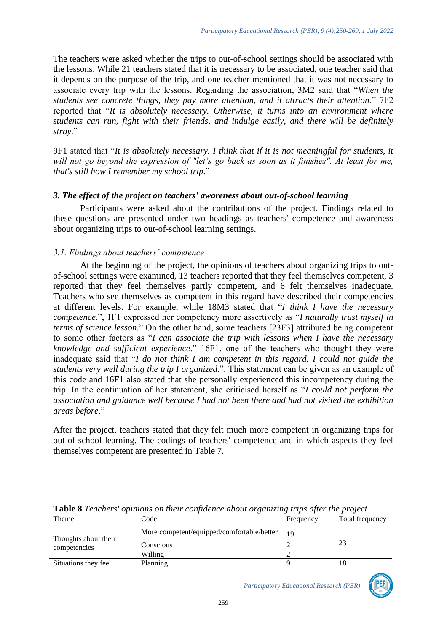The teachers were asked whether the trips to out-of-school settings should be associated with the lessons. While 21 teachers stated that it is necessary to be associated, one teacher said that it depends on the purpose of the trip, and one teacher mentioned that it was not necessary to associate every trip with the lessons. Regarding the association, 3M2 said that "*When the students see concrete things, they pay more attention, and it attracts their attention*." 7F2 reported that "*It is absolutely necessary. Otherwise, it turns into an environment where students can run, fight with their friends, and indulge easily, and there will be definitely stray*."

9F1 stated that "*It is absolutely necessary. I think that if it is not meaningful for students, it will not go beyond the expression of "let's go back as soon as it finishes". At least for me, that's still how I remember my school trip.*"

## *3. The effect of the project on teachers' awareness about out-of-school learning*

Participants were asked about the contributions of the project. Findings related to these questions are presented under two headings as teachers' competence and awareness about organizing trips to out-of-school learning settings.

## *3.1. Findings about teachers' competence*

At the beginning of the project, the opinions of teachers about organizing trips to outof-school settings were examined, 13 teachers reported that they feel themselves competent, 3 reported that they feel themselves partly competent, and 6 felt themselves inadequate. Teachers who see themselves as competent in this regard have described their competencies at different levels. For example, while 18M3 stated that "*I think I have the necessary competence*.", 1F1 expressed her competency more assertively as "*I naturally trust myself in terms of science lesson.*" On the other hand, some teachers [23F3] attributed being competent to some other factors as "*I can associate the trip with lessons when I have the necessary knowledge and sufficient experience*." 16F1, one of the teachers who thought they were inadequate said that "*I do not think I am competent in this regard. I could not guide the students very well during the trip I organized*.". This statement can be given as an example of this code and 16F1 also stated that she personally experienced this incompetency during the trip. In the continuation of her statement, she criticised herself as "*I could not perform the association and guidance well because I had not been there and had not visited the exhibition areas before*."

After the project, teachers stated that they felt much more competent in organizing trips for out-of-school learning. The codings of teachers' competence and in which aspects they feel themselves competent are presented in Table 7.

|                      | <b>Those</b> of Federal operations on their confuctive doom organizary trips after the project |                |                 |
|----------------------|------------------------------------------------------------------------------------------------|----------------|-----------------|
| Theme                | Code                                                                                           | Frequency      | Total frequency |
| Thoughts about their | More competent/equipped/comfortable/better                                                     | 1 <sub>O</sub> |                 |
| competencies         | Conscious                                                                                      |                | 23              |
|                      | Willing                                                                                        |                |                 |
| Situations they feel | Planning                                                                                       |                |                 |

**Table 8** *Teachers' opinions on their confidence about organizing trips after the project*

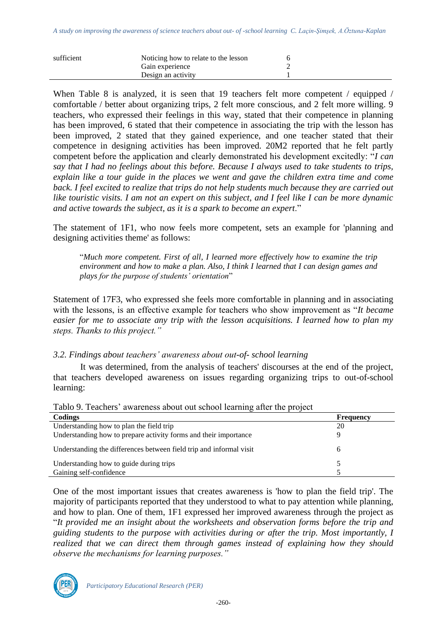| sufficient | Noticing how to relate to the lesson |  |
|------------|--------------------------------------|--|
|            | Gain experience                      |  |
|            | Design an activity                   |  |

When Table 8 is analyzed, it is seen that 19 teachers felt more competent / equipped / comfortable / better about organizing trips, 2 felt more conscious, and 2 felt more willing. 9 teachers, who expressed their feelings in this way, stated that their competence in planning has been improved, 6 stated that their competence in associating the trip with the lesson has been improved, 2 stated that they gained experience, and one teacher stated that their competence in designing activities has been improved. 20M2 reported that he felt partly competent before the application and clearly demonstrated his development excitedly: "*I can say that I had no feelings about this before. Because I always used to take students to trips, explain like a tour guide in the places we went and gave the children extra time and come back. I feel excited to realize that trips do not help students much because they are carried out like touristic visits. I am not an expert on this subject, and I feel like I can be more dynamic and active towards the subject, as it is a spark to become an expert*."

The statement of 1F1, who now feels more competent, sets an example for 'planning and designing activities theme' as follows:

"*Much more competent. First of all, I learned more effectively how to examine the trip environment and how to make a plan. Also, I think I learned that I can design games and plays for the purpose of students' orientation*"

Statement of 17F3, who expressed she feels more comfortable in planning and in associating with the lessons, is an effective example for teachers who show improvement as "*It became easier for me to associate any trip with the lesson acquisitions. I learned how to plan my steps. Thanks to this project."* 

### *3.2. Findings about teachers' awareness about out-of- school learning*

It was determined, from the analysis of teachers' discourses at the end of the project, that teachers developed awareness on issues regarding organizing trips to out-of-school learning:

| Codings                                                             | Frequency |
|---------------------------------------------------------------------|-----------|
| Understanding how to plan the field trip                            | 20        |
| Understanding how to prepare activity forms and their importance    |           |
|                                                                     |           |
| Understanding the differences between field trip and informal visit | h         |
|                                                                     |           |
| Understanding how to guide during trips                             |           |
| Gaining self-confidence                                             |           |

Tablo 9. Teachers' awareness about out school learning after the project

One of the most important issues that creates awareness is 'how to plan the field trip'. The majority of participants reported that they understood to what to pay attention while planning, and how to plan. One of them, 1F1 expressed her improved awareness through the project as "*It provided me an insight about the worksheets and observation forms before the trip and guiding students to the purpose with activities during or after the trip. Most importantly, I realized that we can direct them through games instead of explaining how they should observe the mechanisms for learning purposes."*

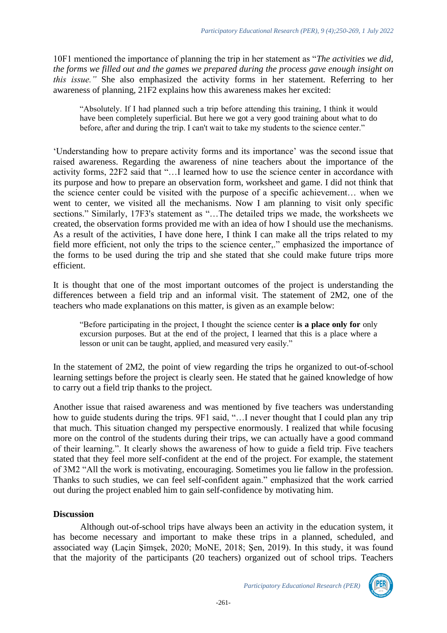10F1 mentioned the importance of planning the trip in her statement as "*The activities we did, the forms we filled out and the games we prepared during the process gave enough insight on this issue."* She also emphasized the activity forms in her statement. Referring to her awareness of planning, 21F2 explains how this awareness makes her excited:

"Absolutely. If I had planned such a trip before attending this training, I think it would have been completely superficial. But here we got a very good training about what to do before, after and during the trip. I can't wait to take my students to the science center."

'Understanding how to prepare activity forms and its importance' was the second issue that raised awareness. Regarding the awareness of nine teachers about the importance of the activity forms, 22F2 said that "…I learned how to use the science center in accordance with its purpose and how to prepare an observation form, worksheet and game. I did not think that the science center could be visited with the purpose of a specific achievement… when we went to center, we visited all the mechanisms. Now I am planning to visit only specific sections." Similarly, 17F3's statement as "...The detailed trips we made, the worksheets we created, the observation forms provided me with an idea of how I should use the mechanisms. As a result of the activities, I have done here, I think I can make all the trips related to my field more efficient, not only the trips to the science center,." emphasized the importance of the forms to be used during the trip and she stated that she could make future trips more efficient.

It is thought that one of the most important outcomes of the project is understanding the differences between a field trip and an informal visit. The statement of 2M2, one of the teachers who made explanations on this matter, is given as an example below:

"Before participating in the project, I thought the science center **is a place only for** only excursion purposes. But at the end of the project, I learned that this is a place where a lesson or unit can be taught, applied, and measured very easily."

In the statement of 2M2, the point of view regarding the trips he organized to out-of-school learning settings before the project is clearly seen. He stated that he gained knowledge of how to carry out a field trip thanks to the project.

Another issue that raised awareness and was mentioned by five teachers was understanding how to guide students during the trips. 9F1 said, "...I never thought that I could plan any trip that much. This situation changed my perspective enormously. I realized that while focusing more on the control of the students during their trips, we can actually have a good command of their learning.". It clearly shows the awareness of how to guide a field trip. Five teachers stated that they feel more self-confident at the end of the project. For example, the statement of 3M2 "All the work is motivating, encouraging. Sometimes you lie fallow in the profession. Thanks to such studies, we can feel self-confident again." emphasized that the work carried out during the project enabled him to gain self-confidence by motivating him.

## **Discussion**

Although out-of-school trips have always been an activity in the education system, it has become necessary and important to make these trips in a planned, scheduled, and associated way (Laçin Şimşek, 2020; MoNE, 2018; Şen, 2019). In this study, it was found that the majority of the participants (20 teachers) organized out of school trips. Teachers

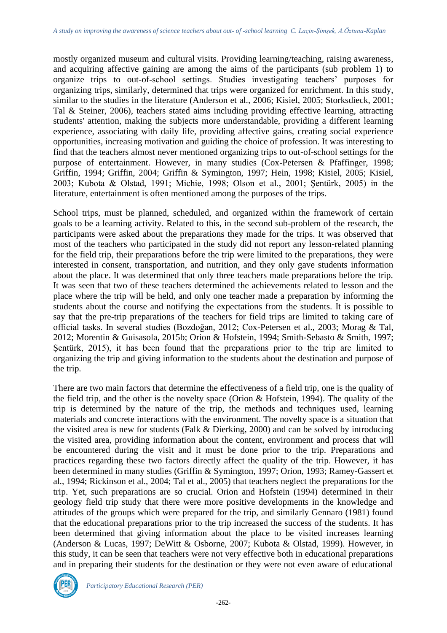mostly organized museum and cultural visits. Providing learning/teaching, raising awareness, and acquiring affective gaining are among the aims of the participants (sub problem 1) to organize trips to out-of-school settings. Studies investigating teachers' purposes for organizing trips, similarly, determined that trips were organized for enrichment. In this study, similar to the studies in the literature (Anderson et al., 2006; Kisiel, 2005; Storksdieck, 2001; Tal & Steiner, 2006), teachers stated aims including providing effective learning, attracting students' attention, making the subjects more understandable, providing a different learning experience, associating with daily life, providing affective gains, creating social experience opportunities, increasing motivation and guiding the choice of profession. It was interesting to find that the teachers almost never mentioned organizing trips to out-of-school settings for the purpose of entertainment. However, in many studies (Cox-Petersen & Pfaffinger, 1998; Griffin, 1994; Griffin, 2004; Griffin & Symington, 1997; Hein, 1998; Kisiel, 2005; Kisiel, 2003; Kubota & Olstad, 1991; Michie, 1998; Olson et al., 2001; Şentürk, 2005) in the literature, entertainment is often mentioned among the purposes of the trips.

School trips, must be planned, scheduled, and organized within the framework of certain goals to be a learning activity. Related to this, in the second sub-problem of the research, the participants were asked about the preparations they made for the trips. It was observed that most of the teachers who participated in the study did not report any lesson-related planning for the field trip, their preparations before the trip were limited to the preparations, they were interested in consent, transportation, and nutrition, and they only gave students information about the place. It was determined that only three teachers made preparations before the trip. It was seen that two of these teachers determined the achievements related to lesson and the place where the trip will be held, and only one teacher made a preparation by informing the students about the course and notifying the expectations from the students. It is possible to say that the pre-trip preparations of the teachers for field trips are limited to taking care of official tasks. In several studies (Bozdoğan, 2012; Cox-Petersen et al., 2003; Morag & Tal, 2012; Morentin & Guisasola, 2015b; Orion & Hofstein, 1994; Smith-Sebasto & Smith, 1997; Şentürk, 2015), it has been found that the preparations prior to the trip are limited to organizing the trip and giving information to the students about the destination and purpose of the trip.

There are two main factors that determine the effectiveness of a field trip, one is the quality of the field trip, and the other is the novelty space (Orion & Hofstein, 1994). The quality of the trip is determined by the nature of the trip, the methods and techniques used, learning materials and concrete interactions with the environment. The novelty space is a situation that the visited area is new for students (Falk & Dierking, 2000) and can be solved by introducing the visited area, providing information about the content, environment and process that will be encountered during the visit and it must be done prior to the trip. Preparations and practices regarding these two factors directly affect the quality of the trip. However, it has been determined in many studies (Griffin & Symington, 1997; Orion, 1993; Ramey-Gassert et al., 1994; Rickinson et al., 2004; Tal et al., 2005) that teachers neglect the preparations for the trip. Yet, such preparations are so crucial. Orion and Hofstein (1994) determined in their geology field trip study that there were more positive developments in the knowledge and attitudes of the groups which were prepared for the trip, and similarly Gennaro (1981) found that the educational preparations prior to the trip increased the success of the students. It has been determined that giving information about the place to be visited increases learning (Anderson & Lucas, 1997; DeWitt & Osborne, 2007; Kubota & Olstad, 1999). However, in this study, it can be seen that teachers were not very effective both in educational preparations and in preparing their students for the destination or they were not even aware of educational



*Participatory Educational Research (PER)*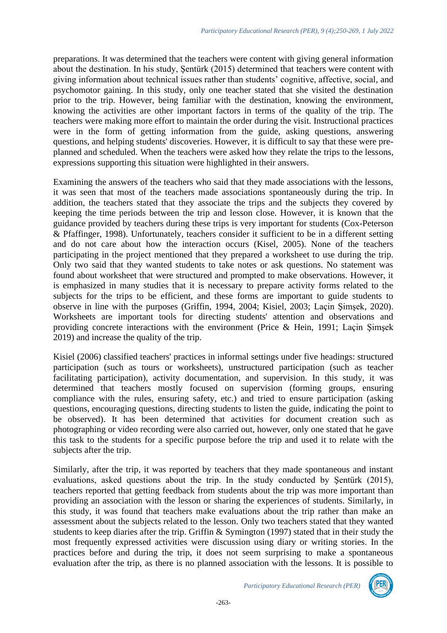preparations. It was determined that the teachers were content with giving general information about the destination. In his study, Şentürk (2015) determined that teachers were content with giving information about technical issues rather than students' cognitive, affective, social, and psychomotor gaining. In this study, only one teacher stated that she visited the destination prior to the trip. However, being familiar with the destination, knowing the environment, knowing the activities are other important factors in terms of the quality of the trip. The teachers were making more effort to maintain the order during the visit. Instructional practices were in the form of getting information from the guide, asking questions, answering questions, and helping students' discoveries. However, it is difficult to say that these were preplanned and scheduled. When the teachers were asked how they relate the trips to the lessons, expressions supporting this situation were highlighted in their answers.

Examining the answers of the teachers who said that they made associations with the lessons, it was seen that most of the teachers made associations spontaneously during the trip. In addition, the teachers stated that they associate the trips and the subjects they covered by keeping the time periods between the trip and lesson close. However, it is known that the guidance provided by teachers during these trips is very important for students (Cox-Peterson & Pfaffinger, 1998). Unfortunately, teachers consider it sufficient to be in a different setting and do not care about how the interaction occurs (Kisel, 2005). None of the teachers participating in the project mentioned that they prepared a worksheet to use during the trip. Only two said that they wanted students to take notes or ask questions. No statement was found about worksheet that were structured and prompted to make observations. However, it is emphasized in many studies that it is necessary to prepare activity forms related to the subjects for the trips to be efficient, and these forms are important to guide students to observe in line with the purposes (Griffin, 1994, 2004; Kisiel, 2003; Laçin Şimşek, 2020). Worksheets are important tools for directing students' attention and observations and providing concrete interactions with the environment (Price & Hein, 1991; Laçin Şimşek 2019) and increase the quality of the trip.

Kisiel (2006) classified teachers' practices in informal settings under five headings: structured participation (such as tours or worksheets), unstructured participation (such as teacher facilitating participation), activity documentation, and supervision. In this study, it was determined that teachers mostly focused on supervision (forming groups, ensuring compliance with the rules, ensuring safety, etc.) and tried to ensure participation (asking questions, encouraging questions, directing students to listen the guide, indicating the point to be observed). It has been determined that activities for document creation such as photographing or video recording were also carried out, however, only one stated that he gave this task to the students for a specific purpose before the trip and used it to relate with the subjects after the trip.

Similarly, after the trip, it was reported by teachers that they made spontaneous and instant evaluations, asked questions about the trip. In the study conducted by Şentürk (2015), teachers reported that getting feedback from students about the trip was more important than providing an association with the lesson or sharing the experiences of students. Similarly, in this study, it was found that teachers make evaluations about the trip rather than make an assessment about the subjects related to the lesson. Only two teachers stated that they wanted students to keep diaries after the trip. Griffin & Symington (1997) stated that in their study the most frequently expressed activities were discussion using diary or writing stories. In the practices before and during the trip, it does not seem surprising to make a spontaneous evaluation after the trip, as there is no planned association with the lessons. It is possible to

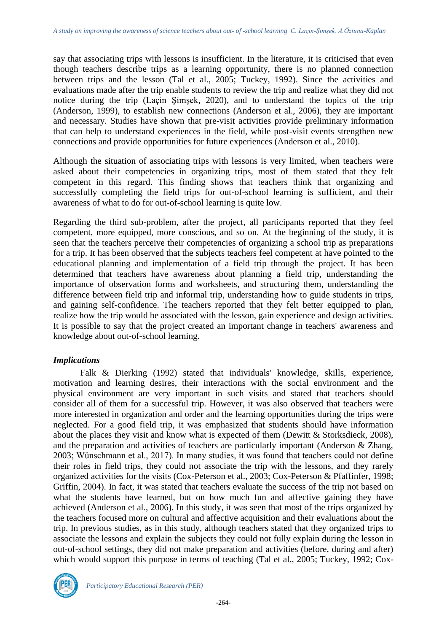say that associating trips with lessons is insufficient. In the literature, it is criticised that even though teachers describe trips as a learning opportunity, there is no planned connection between trips and the lesson (Tal et al., 2005; Tuckey, 1992). Since the activities and evaluations made after the trip enable students to review the trip and realize what they did not notice during the trip (Laçin Şimşek, 2020), and to understand the topics of the trip (Anderson, 1999), to establish new connections (Anderson et al., 2006), they are important and necessary. Studies have shown that pre-visit activities provide preliminary information that can help to understand experiences in the field, while post-visit events strengthen new connections and provide opportunities for future experiences (Anderson et al., 2010).

Although the situation of associating trips with lessons is very limited, when teachers were asked about their competencies in organizing trips, most of them stated that they felt competent in this regard. This finding shows that teachers think that organizing and successfully completing the field trips for out-of-school learning is sufficient, and their awareness of what to do for out-of-school learning is quite low.

Regarding the third sub-problem, after the project, all participants reported that they feel competent, more equipped, more conscious, and so on. At the beginning of the study, it is seen that the teachers perceive their competencies of organizing a school trip as preparations for a trip. It has been observed that the subjects teachers feel competent at have pointed to the educational planning and implementation of a field trip through the project. It has been determined that teachers have awareness about planning a field trip, understanding the importance of observation forms and worksheets, and structuring them, understanding the difference between field trip and informal trip, understanding how to guide students in trips, and gaining self-confidence. The teachers reported that they felt better equipped to plan, realize how the trip would be associated with the lesson, gain experience and design activities. It is possible to say that the project created an important change in teachers' awareness and knowledge about out-of-school learning.

### *Implications*

Falk & Dierking (1992) stated that individuals' knowledge, skills, experience, motivation and learning desires, their interactions with the social environment and the physical environment are very important in such visits and stated that teachers should consider all of them for a successful trip. However, it was also observed that teachers were more interested in organization and order and the learning opportunities during the trips were neglected. For a good field trip, it was emphasized that students should have information about the places they visit and know what is expected of them (Dewitt & Storksdieck, 2008), and the preparation and activities of teachers are particularly important (Anderson & Zhang, 2003; Wünschmann et al., 2017). In many studies, it was found that teachers could not define their roles in field trips, they could not associate the trip with the lessons, and they rarely organized activities for the visits (Cox-Peterson et al., 2003; Cox-Peterson & Pfaffinfer, 1998; Griffin, 2004). In fact, it was stated that teachers evaluate the success of the trip not based on what the students have learned, but on how much fun and affective gaining they have achieved (Anderson et al., 2006). In this study, it was seen that most of the trips organized by the teachers focused more on cultural and affective acquisition and their evaluations about the trip. In previous studies, as in this study, although teachers stated that they organized trips to associate the lessons and explain the subjects they could not fully explain during the lesson in out-of-school settings, they did not make preparation and activities (before, during and after) which would support this purpose in terms of teaching (Tal et al., 2005; Tuckey, 1992; Cox-

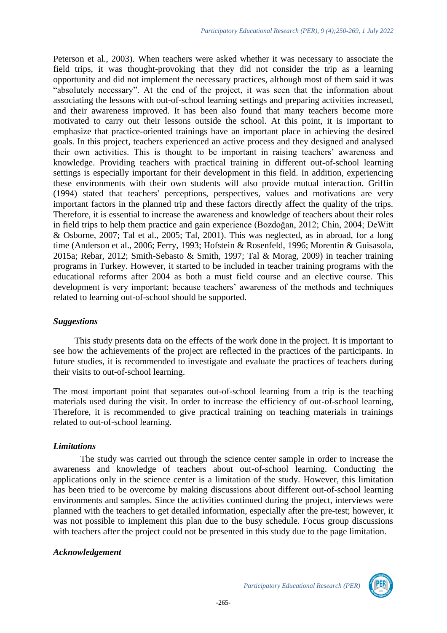Peterson et al., 2003). When teachers were asked whether it was necessary to associate the field trips, it was thought-provoking that they did not consider the trip as a learning opportunity and did not implement the necessary practices, although most of them said it was "absolutely necessary". At the end of the project, it was seen that the information about associating the lessons with out-of-school learning settings and preparing activities increased, and their awareness improved. It has been also found that many teachers become more motivated to carry out their lessons outside the school. At this point, it is important to emphasize that practice-oriented trainings have an important place in achieving the desired goals. In this project, teachers experienced an active process and they designed and analysed their own activities. This is thought to be important in raising teachers' awareness and knowledge. Providing teachers with practical training in different out-of-school learning settings is especially important for their development in this field. In addition, experiencing these environments with their own students will also provide mutual interaction. Griffin (1994) stated that teachers' perceptions, perspectives, values and motivations are very important factors in the planned trip and these factors directly affect the quality of the trips. Therefore, it is essential to increase the awareness and knowledge of teachers about their roles in field trips to help them practice and gain experience (Bozdoğan, 2012; Chin, 2004; DeWitt & Osborne, 2007; Tal et al., 2005; Tal, 2001). This was neglected, as in abroad, for a long time (Anderson et al., 2006; Ferry, 1993; Hofstein & Rosenfeld, 1996; Morentin & Guisasola, 2015a; Rebar, 2012; Smith-Sebasto & Smith, 1997; Tal & Morag, 2009) in teacher training programs in Turkey. However, it started to be included in teacher training programs with the educational reforms after 2004 as both a must field course and an elective course. This development is very important; because teachers' awareness of the methods and techniques related to learning out-of-school should be supported.

### *Suggestions*

This study presents data on the effects of the work done in the project. It is important to see how the achievements of the project are reflected in the practices of the participants. In future studies, it is recommended to investigate and evaluate the practices of teachers during their visits to out-of-school learning.

The most important point that separates out-of-school learning from a trip is the teaching materials used during the visit. In order to increase the efficiency of out-of-school learning, Therefore, it is recommended to give practical training on teaching materials in trainings related to out-of-school learning.

## *Limitations*

The study was carried out through the science center sample in order to increase the awareness and knowledge of teachers about out-of-school learning. Conducting the applications only in the science center is a limitation of the study. However, this limitation has been tried to be overcome by making discussions about different out-of-school learning environments and samples. Since the activities continued during the project, interviews were planned with the teachers to get detailed information, especially after the pre-test; however, it was not possible to implement this plan due to the busy schedule. Focus group discussions with teachers after the project could not be presented in this study due to the page limitation.

### *Acknowledgement*

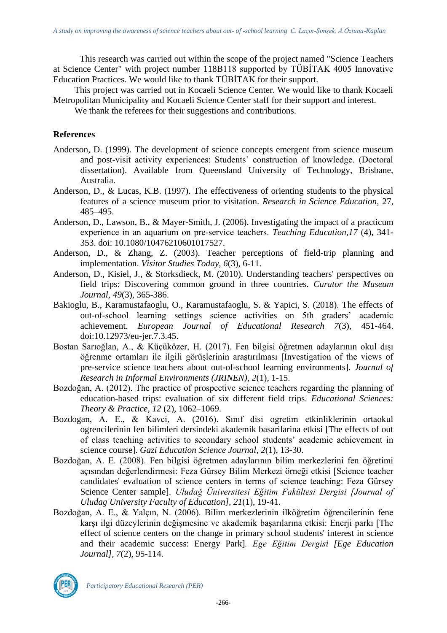This research was carried out within the scope of the project named "Science Teachers at Science Center" with project number 118B118 supported by TÜBİTAK 4005 Innovative Education Practices. We would like to thank TÜBİTAK for their support.

This project was carried out in Kocaeli Science Center. We would like to thank Kocaeli Metropolitan Municipality and Kocaeli Science Center staff for their support and interest.

We thank the referees for their suggestions and contributions.

### **References**

- Anderson, D. (1999). The development of science concepts emergent from science museum and post-visit activity experiences: Students' construction of knowledge. (Doctoral dissertation). Available from Queensland University of Technology, Brisbane, Australia.
- Anderson, D., & Lucas, K.B. (1997). The effectiveness of orienting students to the physical features of a science museum prior to visitation. *Research in Science Education,* 27, 485–495.
- Anderson, D., Lawson, B., & Mayer-Smith, J. (2006). Investigating the impact of a practicum experience in an aquarium on pre‐service teachers. *Teaching Education,17* (4), 341- 353. doi: 10.1080/10476210601017527.
- Anderson, D., & Zhang, Z. (2003). Teacher perceptions of field-trip planning and implementation. *Visitor Studies Today, 6*(3), 6-11.
- Anderson, D., Kisiel, J., & Storksdieck, M. (2010). Understanding teachers' perspectives on field trips: Discovering common ground in three countries. *Curator the Museum Journal, 49*(3), 365-386.
- Bakioglu, B., Karamustafaoglu, O., Karamustafaoglu, S. & Yapici, S. (2018). The effects of out-of-school learning settings science activities on 5th graders' academic achievement. *European Journal of Educational Research 7*(3), 451-464. doi:10.12973/eu-jer.7.3.45.
- Bostan Sarıoğlan, A., & Küçüközer, H. (2017). Fen bilgisi öğretmen adaylarının okul dışı öğrenme ortamları ile ilgili görüşlerinin araştırılması [Investigation of the views of pre-service science teachers about out-of-school learning environments]. *Journal of Research in Informal Environments (JRINEN), 2*(1), 1-15.
- Bozdoğan, A. (2012). The practice of prospective science teachers regarding the planning of education-based trips: evaluation of six different field trips. *Educational Sciences: Theory & Practice, 12* (2), 1062–1069.
- Bozdogan, A. E., & Kavci, A. (2016). Sınıf disi ogretim etkinliklerinin ortaokul ogrencilerinin fen bilimleri dersindeki akademik basarilarina etkisi [The effects of out of class teaching activities to secondary school students' academic achievement in science course]. *Gazi Education Science Journal, 2*(1), 13-30.
- Bozdoğan, A. E. (2008). Fen bilgisi öğretmen adaylarının bilim merkezlerini fen öğretimi açısından değerlendirmesi: Feza Gürsey Bilim Merkezi örneği etkisi [Science teacher candidates' evaluation of science centers in terms of science teaching: Feza Gürsey Science Center sample]. *Uludağ Üniversitesi Eğitim Fakültesi Dergisi [Journal of Uludag University Faculty of Education], 21*(1), 19-41.
- Bozdoğan, A. E., & Yalçın, N. (2006). Bilim merkezlerinin ilköğretim öğrencilerinin fene karşı ilgi düzeylerinin değişmesine ve akademik başarılarına etkisi: Enerji parkı [The effect of science centers on the change in primary school students' interest in science and their academic success: Energy Park]*. Ege Eğitim Dergisi [Ege Education Journal], 7*(2), 95-114.

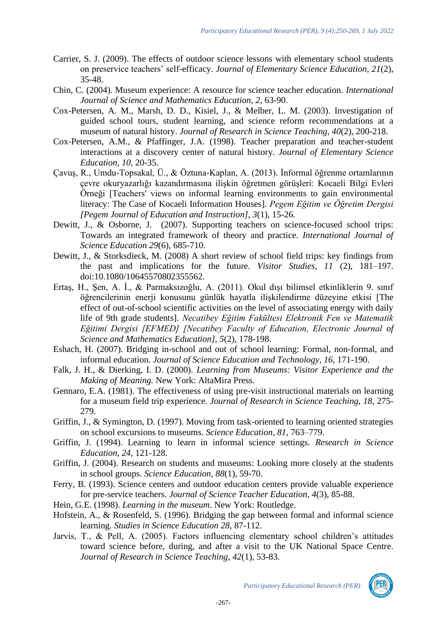- Carrier, S. J. (2009). The effects of outdoor science lessons with elementary school students on preservice teachers' self-efficacy. *Journal of Elementary Science Education, 21*(2), 35-48.
- Chin, C. (2004). Museum experience: A resource for science teacher education. *International Journal of Science and Mathematics Education, 2*, 63-90.
- Cox-Petersen, A. M., Marsh, D. D., Kisiel, J., & Melber, L. M. (2003). Investigation of guided school tours, student learning, and science reform recommendations at a museum of natural history. *Journal of Research in Science Teaching, 40*(2), 200-218.
- Cox-Petersen, A.M., & Pfaffinger, J.A. (1998). Teacher preparation and teacher-student interactions at a discovery center of natural history. *Journal of Elementary Science Education, 10*, 20-35.
- Çavuş, R., Umdu-Topsakal, Ü., & Öztuna-Kaplan, A. (2013). İnformal öğrenme ortamlarının çevre okuryazarlığı kazandırmasına ilişkin öğretmen görüşleri: Kocaeli Bilgi Evleri Örneği [Teachers' views on informal learning environments to gain environmental literacy: The Case of Kocaeli Information Houses]. *Pegem Eğitim ve Öğretim Dergisi [Pegem Journal of Education and Instruction], 3*(1), 15-26.
- Dewitt, J., & Osborne, J. (2007). Supporting teachers on science-focused school trips: Towards an integrated framework of theory and practice. *International Journal of Science Education 29*(6), 685-710.
- Dewitt, J., & Storksdieck, M. (2008) A short review of school field trips: key findings from the past and implications for the future. *Visitor Studies, 11* (2), 181–197. doi:10.1080/10645570802355562.
- Ertaş, H., Şen, A. İ., & Parmaksızoğlu, A. (2011). Okul dışı bilimsel etkinliklerin 9. sınıf öğrencilerinin enerji konusunu günlük hayatla ilişkilendirme düzeyine etkisi [The effect of out-of-school scientific activities on the level of associating energy with daily life of 9th grade students]. *Necatibey Eğitim Fakültesi Elektronik Fen ve Matematik Eğitimi Dergisi [EFMED] [Necatibey Faculty of Education, Electronic Journal of Science and Mathematics Education], 5*(2), 178-198.
- Eshach, H. (2007). Bridging in-school and out of school learning: Formal, non-formal, and informal education. *Journal of Science Education and Technology, 16*, 171-190.
- Falk, J. H., & Dierking, I. D. (2000). *Learning from Museums: Visitor Experience and the Making of Meaning.* New York: AltaMira Press.
- Gennaro, E.A. (1981). The effectiveness of using pre-visit instructional materials on learning for a museum field trip experience. *Journal of Research in Science Teaching, 18*, 275- 279.
- Griffin, J., & Symington, D. (1997). Moving from task-oriented to learning oriented strategies on school excursions to museums. *Science Education, 81*, 763–779.
- Griffin, J. (1994). Learning to learn in informal science settings. *Research in Science Education, 24*, 121-128.
- Griffin, J. (2004). Research on students and museums: Looking more closely at the students in school groups. *Science Education, 88*(1), 59-70.
- Ferry, B. (1993). Science centers and outdoor education centers provide valuable experience for pre-service teachers. *Journal of Science Teacher Education, 4*(3), 85-88.
- Hein, G.E. (1998). *Learning in the museum*. New York: Routledge.
- Hofstein, A., & Rosenfeld, S. (1996). Bridging the gap between formal and informal science learning*. Studies in Science Education 28*, 87-112.
- Jarvis, T., & Pell, A. (2005). Factors influencing elementary school children's attitudes toward science before, during, and after a visit to the UK National Space Centre. *Journal of Research in Science Teaching, 42*(1), 53-83.

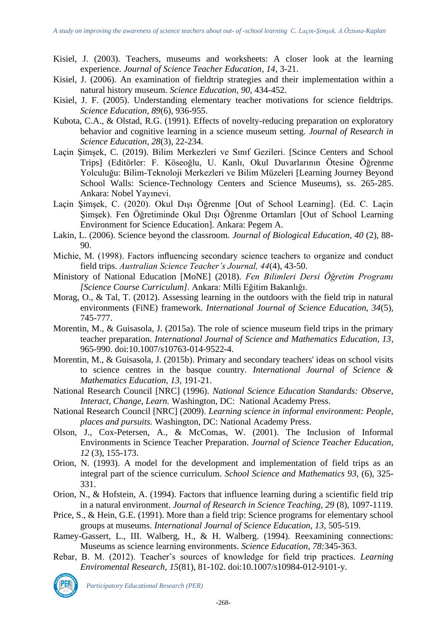- Kisiel, J. (2003). Teachers, museums and worksheets: A closer look at the learning experience. *Journal of Science Teacher Education, 14*, 3-21.
- Kisiel, J. (2006). An examination of fieldtrip strategies and their implementation within a natural history museum. *Science Education, 90*, 434-452.
- Kisiel, J. F. (2005). Understanding elementary teacher motivations for science fieldtrips. *Science Education, 89*(6), 936-955.
- Kubota, C.A., & Olstad, R.G. (1991). Effects of novelty-reducing preparation on exploratory behavior and cognitive learning in a science museum setting. *Journal of Research in Science Education, 28*(3), 22-234.
- Laçin Şimşek, C. (2019). Bilim Merkezleri ve Sınıf Gezileri. [Scince Centers and School Trips] (Editörler: F. Köseoğlu, U. Kanlı, Okul Duvarlarının Ötesine Öğrenme Yolculuğu: Bilim-Teknoloji Merkezleri ve Bilim Müzeleri [Learning Journey Beyond School Walls: Science-Technology Centers and Science Museums), ss. 265-285. Ankara: Nobel Yayınevi.
- Laçin Şimşek, C. (2020). Okul Dışı Öğrenme [Out of School Learning]. (Ed. C. Laçin Şimşek). Fen Öğretiminde Okul Dışı Öğrenme Ortamları [Out of School Learning Environment for Science Education]. Ankara: Pegem A.
- Lakin, L. (2006). Science beyond the classroom. *Journal of Biological Education, 40* (2), 88- 90.
- Michie, M. (1998). Factors influencing secondary science teachers to organize and conduct field trips. *Australian Science Teacher's Journal, 44*(4), 43-50.
- Ministory of National Education [MoNE] (2018). *Fen Bilimleri Dersi Öğretim Programı [Science Course Curriculum]*. Ankara: Milli Eğitim Bakanlığı.
- Morag, O., & Tal, T. (2012). Assessing learning in the outdoors with the field trip in natural environments (FiNE) framework. *International Journal of Science Education, 34*(5), 745-777.
- Morentin, M., & Guisasola, J. (2015a). The role of science museum field trips in the primary teacher preparation. *International Journal of Science and Mathematics Education, 13,*  965-990. doi:10.1007/s10763-014-9522-4.
- Morentin, M., & Guisasola, J. (2015b). Primary and secondary teachers' ideas on school visits to science centres in the basque country. *International Journal of Science & Mathematics Education, 13,* 191-21.
- National Research Council [NRC] (1996). *National Science Education Standards: Observe, Interact, Change, Learn.* Washington, DC: National Academy Press.
- National Research Council [NRC] (2009). *Learning science in informal environment: People, places and pursuits.* Washington, DC: National Academy Press.
- Olson, J., Cox-Petersen, A., & McComas, W. (2001). The Inclusion of Informal Environments in Science Teacher Preparation. *Journal of Science Teacher Education, 12* (3), 155-173.
- Orion, N. (1993). A model for the development and implementation of field trips as an integral part of the science curriculum. *School Science and Mathematics 93*, (6), 325- 331.
- Orion, N., & Hofstein, A. (1994). Factors that influence learning during a scientific field trip in a natural environment. *Journal of Research in Science Teaching, 29* (8), 1097-1119.
- Price, S., & Hein, G.E. (1991). More than a field trip: Science programs for elementary school groups at museums. *International Journal of Science Education, 13*, 505-519.
- Ramey-Gassert, L., III. Walberg, H., & H. Walberg. (1994). Reexamining connections: Museums as science learning environments. *Science Education, 78:*345-363.
- Rebar, B. M. (2012). Teacher's sources of knowledge for field trip practices. *Learning Enviromental Research, 15*(81), 81-102. doi:10.1007/s10984-012-9101-y.